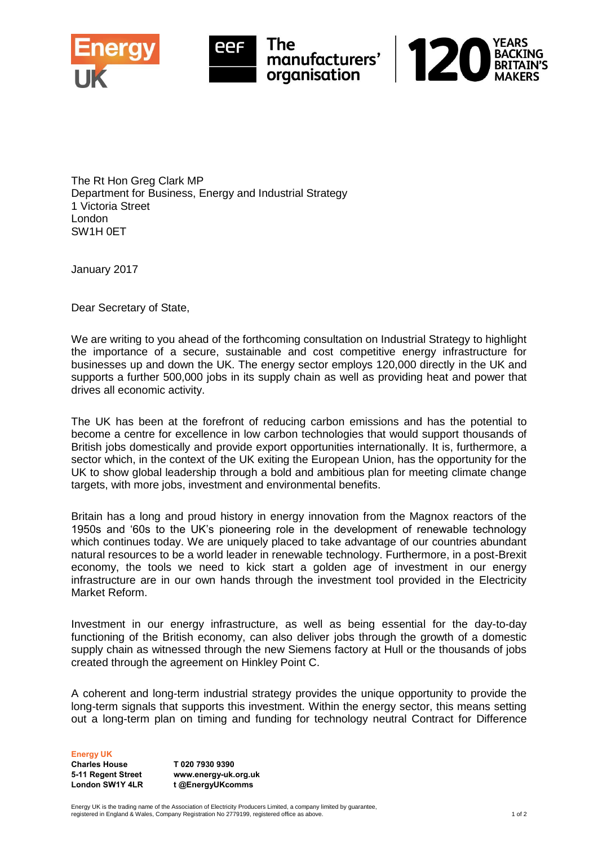



The Rt Hon Greg Clark MP Department for Business, Energy and Industrial Strategy 1 Victoria Street London SW1H 0ET

January 2017

Dear Secretary of State,

We are writing to you ahead of the forthcoming consultation on Industrial Strategy to highlight the importance of a secure, sustainable and cost competitive energy infrastructure for businesses up and down the UK. The energy sector employs 120,000 directly in the UK and supports a further 500,000 jobs in its supply chain as well as providing heat and power that drives all economic activity.

The UK has been at the forefront of reducing carbon emissions and has the potential to become a centre for excellence in low carbon technologies that would support thousands of British jobs domestically and provide export opportunities internationally. It is, furthermore, a sector which, in the context of the UK exiting the European Union, has the opportunity for the UK to show global leadership through a bold and ambitious plan for meeting climate change targets, with more jobs, investment and environmental benefits.

Britain has a long and proud history in energy innovation from the Magnox reactors of the 1950s and '60s to the UK's pioneering role in the development of renewable technology which continues today. We are uniquely placed to take advantage of our countries abundant natural resources to be a world leader in renewable technology. Furthermore, in a post-Brexit economy, the tools we need to kick start a golden age of investment in our energy infrastructure are in our own hands through the investment tool provided in the Electricity Market Reform.

Investment in our energy infrastructure, as well as being essential for the day-to-day functioning of the British economy, can also deliver jobs through the growth of a domestic supply chain as witnessed through the new Siemens factory at Hull or the thousands of jobs created through the agreement on Hinkley Point C.

A coherent and long-term industrial strategy provides the unique opportunity to provide the long-term signals that supports this investment. Within the energy sector, this means setting out a long-term plan on timing and funding for technology neutral Contract for Difference

Energy UK

Charles House 5-11 Regent Street London SW1Y 4LR

T 020 7930 9390 www.energy-uk.org.uk t @EnergyUKcomms

Energy UK is the trading name of the Association of Electricity Producers Limited, a company limited by guarantee, registered in England & Wales, Company Registration No 2779199, registered office as above. 1 of 2